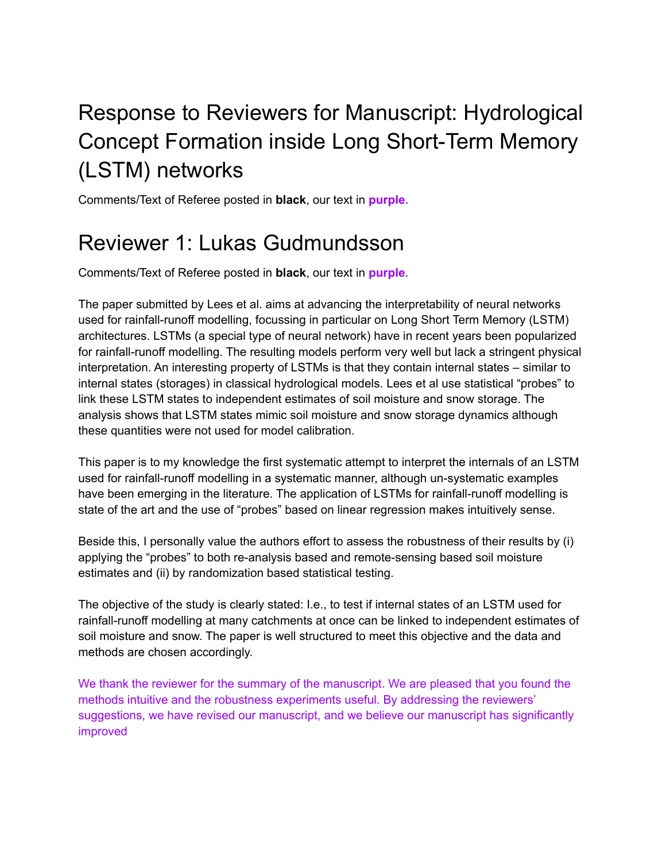# Response to Reviewers for Manuscript: Hydrological Concept Formation inside Long Short-Term Memory (LSTM) networks

Comments/Text of Referee posted in **black**, our text in **purple**.

## Reviewer 1: Lukas Gudmundsson

Comments/Text of Referee posted in **black**, our text in **purple**.

The paper submitted by Lees et al. aims at advancing the interpretability of neural networks used for rainfall-runoff modelling, focussing in particular on Long Short Term Memory (LSTM) architectures. LSTMs (a special type of neural network) have in recent years been popularized for rainfall-runoff modelling. The resulting models perform very well but lack a stringent physical interpretation. An interesting property of LSTMs is that they contain internal states – similar to internal states (storages) in classical hydrological models. Lees et al use statistical "probes" to link these LSTM states to independent estimates of soil moisture and snow storage. The analysis shows that LSTM states mimic soil moisture and snow storage dynamics although these quantities were not used for model calibration.

This paper is to my knowledge the first systematic attempt to interpret the internals of an LSTM used for rainfall-runoff modelling in a systematic manner, although un-systematic examples have been emerging in the literature. The application of LSTMs for rainfall-runoff modelling is state of the art and the use of "probes" based on linear regression makes intuitively sense.

Beside this, I personally value the authors effort to assess the robustness of their results by (i) applying the "probes" to both re-analysis based and remote-sensing based soil moisture estimates and (ii) by randomization based statistical testing.

The objective of the study is clearly stated: I.e., to test if internal states of an LSTM used for rainfall-runoff modelling at many catchments at once can be linked to independent estimates of soil moisture and snow. The paper is well structured to meet this objective and the data and methods are chosen accordingly.

We thank the reviewer for the summary of the manuscript. We are pleased that you found the methods intuitive and the robustness experiments useful. By addressing the reviewers' suggestions, we have revised our manuscript, and we believe our manuscript has significantly improved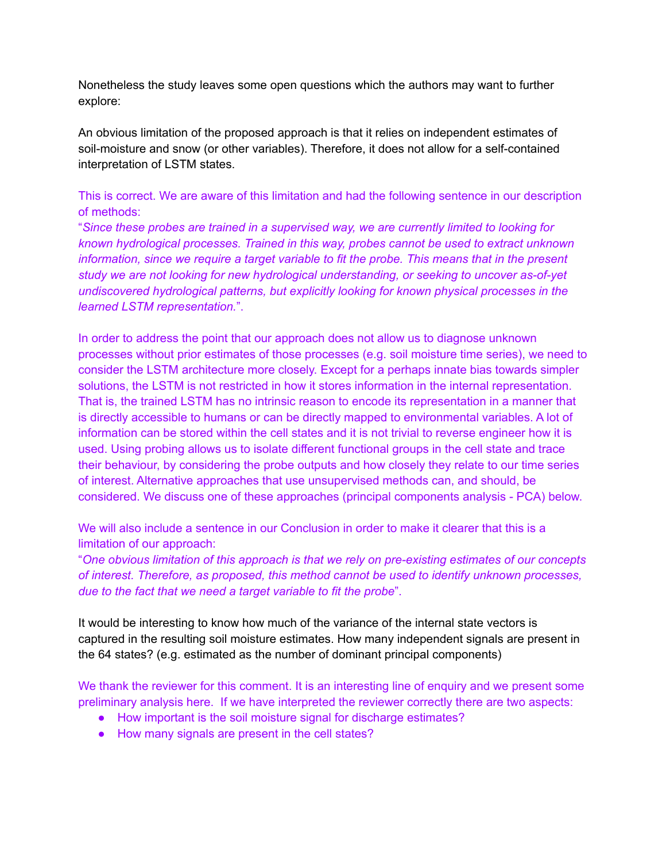Nonetheless the study leaves some open questions which the authors may want to further explore:

An obvious limitation of the proposed approach is that it relies on independent estimates of soil-moisture and snow (or other variables). Therefore, it does not allow for a self-contained interpretation of LSTM states.

#### This is correct. We are aware of this limitation and had the following sentence in our description of methods:

"*Since these probes are trained in a supervised way, we are currently limited to looking for known hydrological processes. Trained in this way, probes cannot be used to extract unknown information, since we require a target variable to fit the probe. This means that in the present study we are not looking for new hydrological understanding, or seeking to uncover as-of-yet undiscovered hydrological patterns, but explicitly looking for known physical processes in the learned LSTM representation.*".

In order to address the point that our approach does not allow us to diagnose unknown processes without prior estimates of those processes (e.g. soil moisture time series), we need to consider the LSTM architecture more closely. Except for a perhaps innate bias towards simpler solutions, the LSTM is not restricted in how it stores information in the internal representation. That is, the trained LSTM has no intrinsic reason to encode its representation in a manner that is directly accessible to humans or can be directly mapped to environmental variables. A lot of information can be stored within the cell states and it is not trivial to reverse engineer how it is used. Using probing allows us to isolate different functional groups in the cell state and trace their behaviour, by considering the probe outputs and how closely they relate to our time series of interest. Alternative approaches that use unsupervised methods can, and should, be considered. We discuss one of these approaches (principal components analysis - PCA) below.

We will also include a sentence in our Conclusion in order to make it clearer that this is a limitation of our approach:

"*One obvious limitation of this approach is that we rely on pre-existing estimates of our concepts of interest. Therefore, as proposed, this method cannot be used to identify unknown processes, due to the fact that we need a target variable to fit the probe*".

It would be interesting to know how much of the variance of the internal state vectors is captured in the resulting soil moisture estimates. How many independent signals are present in the 64 states? (e.g. estimated as the number of dominant principal components)

We thank the reviewer for this comment. It is an interesting line of enquiry and we present some preliminary analysis here. If we have interpreted the reviewer correctly there are two aspects:

- How important is the soil moisture signal for discharge estimates?
- How many signals are present in the cell states?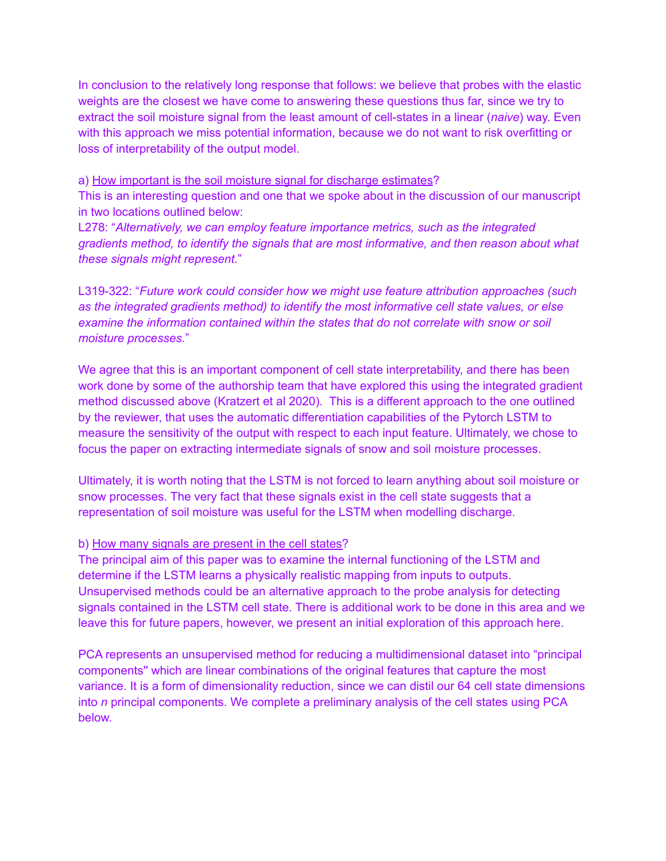In conclusion to the relatively long response that follows: we believe that probes with the elastic weights are the closest we have come to answering these questions thus far, since we try to extract the soil moisture signal from the least amount of cell-states in a linear (*naive*) way. Even with this approach we miss potential information, because we do not want to risk overfitting or loss of interpretability of the output model.

#### a) How important is the soil moisture signal for discharge estimates?

This is an interesting question and one that we spoke about in the discussion of our manuscript in two locations outlined below:

L278: "*Alternatively, we can employ feature importance metrics, such as the integrated gradients method, to identify the signals that are most informative, and then reason about what these signals might represent.*"

L319-322: "*Future work could consider how we might use feature attribution approaches (such as the integrated gradients method) to identify the most informative cell state values, or else examine the information contained within the states that do not correlate with snow or soil moisture processes.*"

We agree that this is an important component of cell state interpretability, and there has been work done by some of the authorship team that have explored this using the integrated gradient method discussed above (Kratzert et al 2020). This is a different approach to the one outlined by the reviewer, that uses the automatic differentiation capabilities of the Pytorch LSTM to measure the sensitivity of the output with respect to each input feature. Ultimately, we chose to focus the paper on extracting intermediate signals of snow and soil moisture processes.

Ultimately, it is worth noting that the LSTM is not forced to learn anything about soil moisture or snow processes. The very fact that these signals exist in the cell state suggests that a representation of soil moisture was useful for the LSTM when modelling discharge.

#### b) How many signals are present in the cell states?

The principal aim of this paper was to examine the internal functioning of the LSTM and determine if the LSTM learns a physically realistic mapping from inputs to outputs. Unsupervised methods could be an alternative approach to the probe analysis for detecting signals contained in the LSTM cell state. There is additional work to be done in this area and we leave this for future papers, however, we present an initial exploration of this approach here.

PCA represents an unsupervised method for reducing a multidimensional dataset into "principal components'' which are linear combinations of the original features that capture the most variance. It is a form of dimensionality reduction, since we can distil our 64 cell state dimensions into *n* principal components. We complete a preliminary analysis of the cell states using PCA below.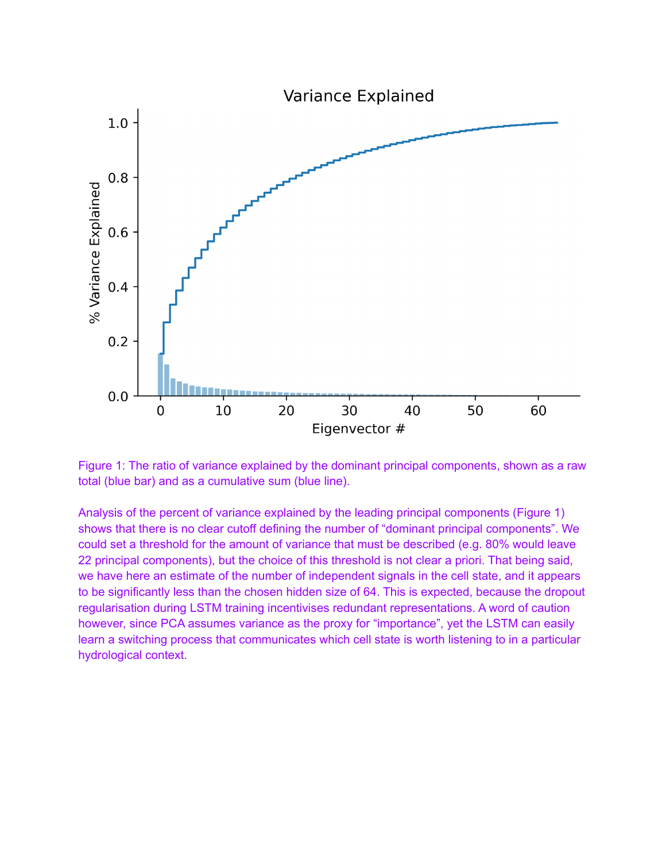

Figure 1: The ratio of variance explained by the dominant principal components, shown as a raw total (blue bar) and as a cumulative sum (blue line).

Analysis of the percent of variance explained by the leading principal components (Figure 1) shows that there is no clear cutoff defining the number of "dominant principal components". We could set a threshold for the amount of variance that must be described (e.g. 80% would leave 22 principal components), but the choice of this threshold is not clear a priori. That being said, we have here an estimate of the number of independent signals in the cell state, and it appears to be significantly less than the chosen hidden size of 64. This is expected, because the dropout regularisation during LSTM training incentivises redundant representations. A word of caution however, since PCA assumes variance as the proxy for "importance", yet the LSTM can easily learn a switching process that communicates which cell state is worth listening to in a particular hydrological context.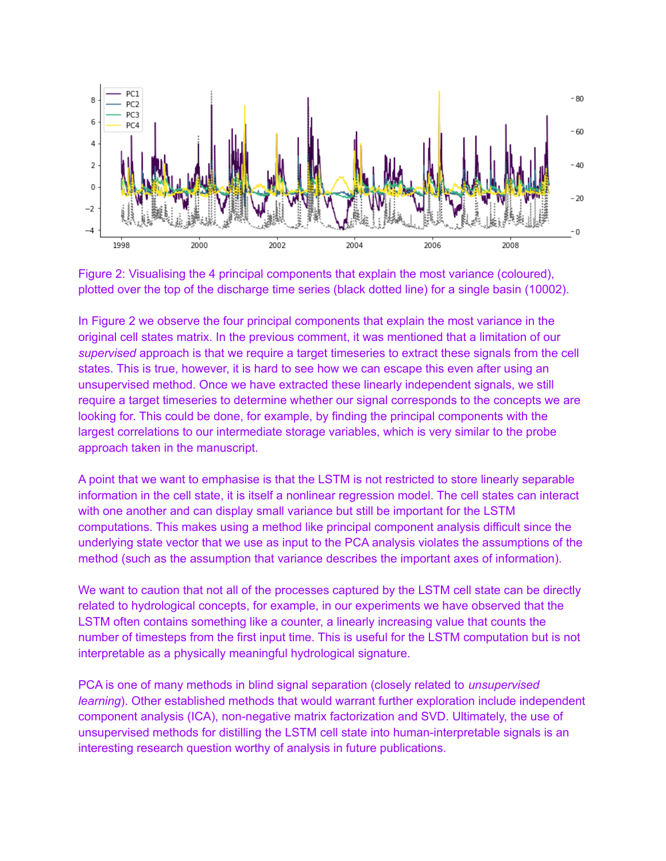



In Figure 2 we observe the four principal components that explain the most variance in the original cell states matrix. In the previous comment, it was mentioned that a limitation of our *supervised* approach is that we require a target timeseries to extract these signals from the cell states. This is true, however, it is hard to see how we can escape this even after using an unsupervised method. Once we have extracted these linearly independent signals, we still require a target timeseries to determine whether our signal corresponds to the concepts we are looking for. This could be done, for example, by finding the principal components with the largest correlations to our intermediate storage variables, which is very similar to the probe approach taken in the manuscript.

A point that we want to emphasise is that the LSTM is not restricted to store linearly separable information in the cell state, it is itself a nonlinear regression model. The cell states can interact with one another and can display small variance but still be important for the LSTM computations. This makes using a method like principal component analysis difficult since the underlying state vector that we use as input to the PCA analysis violates the assumptions of the method (such as the assumption that variance describes the important axes of information).

We want to caution that not all of the processes captured by the LSTM cell state can be directly related to hydrological concepts, for example, in our experiments we have observed that the LSTM often contains something like a counter, a linearly increasing value that counts the number of timesteps from the first input time. This is useful for the LSTM computation but is not interpretable as a physically meaningful hydrological signature.

PCA is one of many methods in blind signal separation (closely related to *unsupervised learning*). Other established methods that would warrant further exploration include independent component analysis (ICA), non-negative matrix factorization and SVD. Ultimately, the use of unsupervised methods for distilling the LSTM cell state into human-interpretable signals is an interesting research question worthy of analysis in future publications.